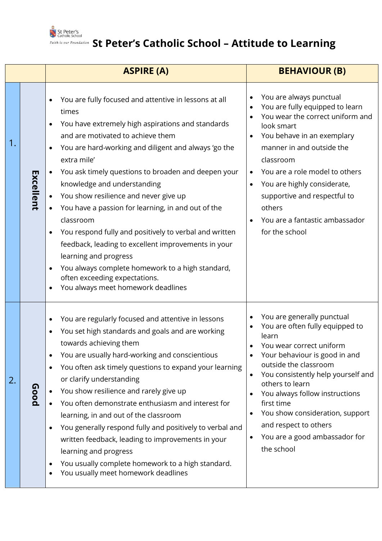

## **Edith is our Foundation** St Peter's Catholic School – Attitude to Learning

|    |           | <b>ASPIRE (A)</b>                                                                                                                                                                                                                                                                                                                                                                                                                                                                                                                                                                                                                                                                                          | <b>BEHAVIOUR (B)</b>                                                                                                                                                                                                                                                                                                                                                                                                                 |
|----|-----------|------------------------------------------------------------------------------------------------------------------------------------------------------------------------------------------------------------------------------------------------------------------------------------------------------------------------------------------------------------------------------------------------------------------------------------------------------------------------------------------------------------------------------------------------------------------------------------------------------------------------------------------------------------------------------------------------------------|--------------------------------------------------------------------------------------------------------------------------------------------------------------------------------------------------------------------------------------------------------------------------------------------------------------------------------------------------------------------------------------------------------------------------------------|
| 1. | Excellent | You are fully focused and attentive in lessons at all<br>times<br>You have extremely high aspirations and standards<br>and are motivated to achieve them<br>You are hard-working and diligent and always 'go the<br>extra mile'<br>You ask timely questions to broaden and deepen your<br>knowledge and understanding<br>You show resilience and never give up<br>You have a passion for learning, in and out of the<br>classroom<br>You respond fully and positively to verbal and written<br>feedback, leading to excellent improvements in your<br>learning and progress<br>You always complete homework to a high standard,<br>often exceeding expectations.<br>You always meet homework deadlines     | You are always punctual<br>$\bullet$<br>You are fully equipped to learn<br>You wear the correct uniform and<br>look smart<br>You behave in an exemplary<br>manner in and outside the<br>classroom<br>You are a role model to others<br>$\bullet$<br>You are highly considerate,<br>$\bullet$<br>supportive and respectful to<br>others<br>You are a fantastic ambassador<br>for the school                                           |
| 2. | Good      | You are regularly focused and attentive in lessons<br>$\bullet$<br>You set high standards and goals and are working<br>towards achieving them<br>You are usually hard-working and conscientious<br>You often ask timely questions to expand your learning<br>$\bullet$<br>or clarify understanding<br>You show resilience and rarely give up<br>$\bullet$<br>You often demonstrate enthusiasm and interest for<br>learning, in and out of the classroom<br>You generally respond fully and positively to verbal and<br>written feedback, leading to improvements in your<br>learning and progress<br>You usually complete homework to a high standard.<br>You usually meet homework deadlines<br>$\bullet$ | You are generally punctual<br>$\bullet$<br>You are often fully equipped to<br>learn<br>You wear correct uniform<br>Your behaviour is good in and<br>outside the classroom<br>You consistently help yourself and<br>others to learn<br>You always follow instructions<br>$\bullet$<br>first time<br>You show consideration, support<br>$\bullet$<br>and respect to others<br>You are a good ambassador for<br>$\bullet$<br>the school |